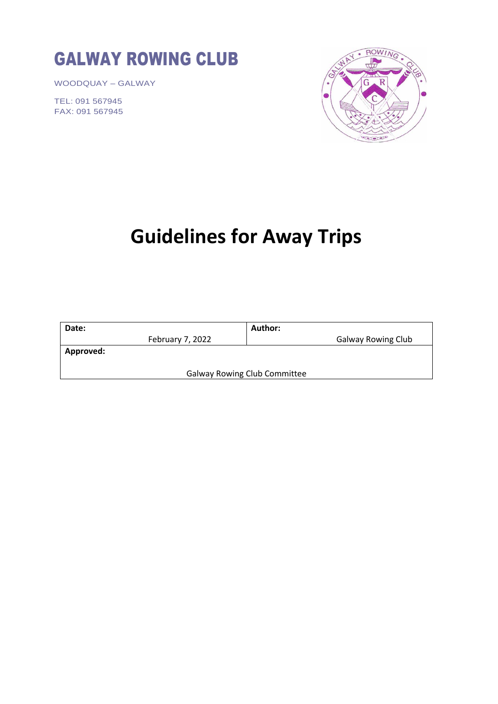# GALWAY ROWING CLUB

WOODQUAY – GALWAY

TEL: 091 567945 FAX: 091 567945



# **Guidelines for Away Trips**

| Date:                               |                  | Author:                   |
|-------------------------------------|------------------|---------------------------|
|                                     | February 7, 2022 | <b>Galway Rowing Club</b> |
| Approved:                           |                  |                           |
|                                     |                  |                           |
| <b>Galway Rowing Club Committee</b> |                  |                           |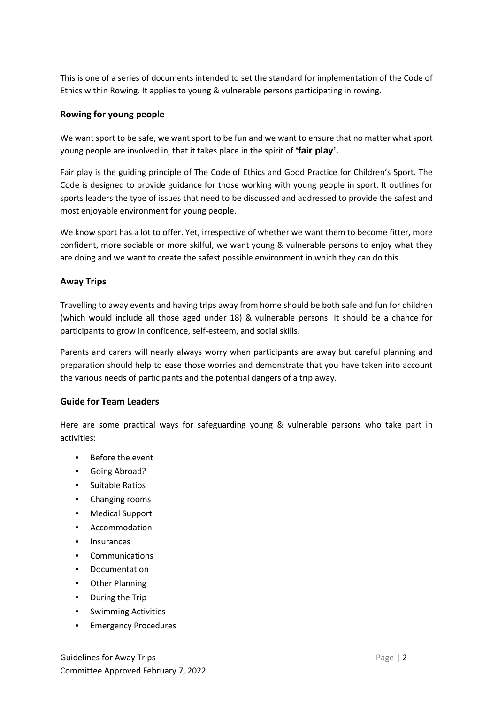This is one of a series of documents intended to set the standard for implementation of the Code of Ethics within Rowing. It applies to young & vulnerable persons participating in rowing.

# **Rowing for young people**

We want sport to be safe, we want sport to be fun and we want to ensure that no matter what sport young people are involved in, that it takes place in the spirit of **'fair play'.**

Fair play is the guiding principle of The Code of Ethics and Good Practice for Children's Sport. The Code is designed to provide guidance for those working with young people in sport. It outlines for sports leaders the type of issues that need to be discussed and addressed to provide the safest and most enjoyable environment for young people.

We know sport has a lot to offer. Yet, irrespective of whether we want them to become fitter, more confident, more sociable or more skilful, we want young & vulnerable persons to enjoy what they are doing and we want to create the safest possible environment in which they can do this.

# **Away Trips**

Travelling to away events and having trips away from home should be both safe and fun for children (which would include all those aged under 18) & vulnerable persons. It should be a chance for participants to grow in confidence, self-esteem, and social skills.

Parents and carers will nearly always worry when participants are away but careful planning and preparation should help to ease those worries and demonstrate that you have taken into account the various needs of participants and the potential dangers of a trip away.

# **Guide for Team Leaders**

Here are some practical ways for safeguarding young & vulnerable persons who take part in activities:

- Before the event
- Going Abroad?
- Suitable Ratios
- Changing rooms
- Medical Support
- Accommodation
- Insurances
- Communications
- Documentation
- Other Planning
- During the Trip
- Swimming Activities
- Emergency Procedures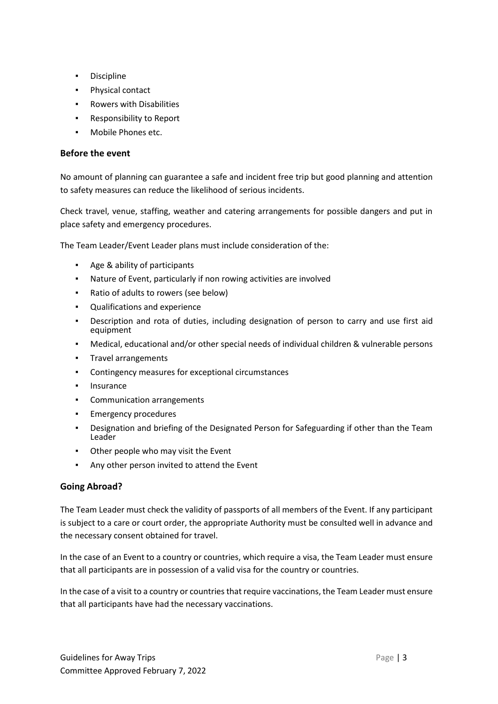- Discipline
- Physical contact
- Rowers with Disabilities
- Responsibility to Report
- Mobile Phones etc.

# **Before the event**

No amount of planning can guarantee a safe and incident free trip but good planning and attention to safety measures can reduce the likelihood of serious incidents.

Check travel, venue, staffing, weather and catering arrangements for possible dangers and put in place safety and emergency procedures.

The Team Leader/Event Leader plans must include consideration of the:

- Age & ability of participants
- Nature of Event, particularly if non rowing activities are involved
- Ratio of adults to rowers (see below)
- Qualifications and experience
- Description and rota of duties, including designation of person to carry and use first aid equipment
- Medical, educational and/or other special needs of individual children & vulnerable persons
- Travel arrangements
- Contingency measures for exceptional circumstances
- Insurance
- Communication arrangements
- **Emergency procedures**
- Designation and briefing of the Designated Person for Safeguarding if other than the Team Leader
- Other people who may visit the Event
- Any other person invited to attend the Event

# **Going Abroad?**

The Team Leader must check the validity of passports of all members of the Event. If any participant is subject to a care or court order, the appropriate Authority must be consulted well in advance and the necessary consent obtained for travel.

In the case of an Event to a country or countries, which require a visa, the Team Leader must ensure that all participants are in possession of a valid visa for the country or countries.

In the case of a visit to a country or countries that require vaccinations, the Team Leader must ensure that all participants have had the necessary vaccinations.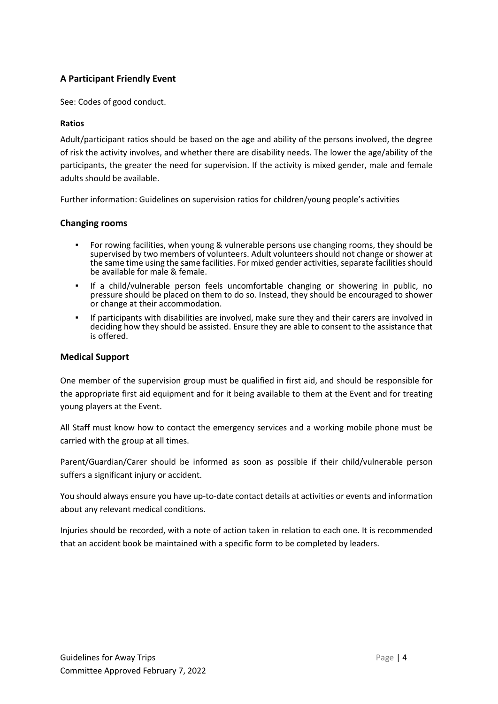# **A Participant Friendly Event**

See: Codes of good conduct.

#### **Ratios**

Adult/participant ratios should be based on the age and ability of the persons involved, the degree of risk the activity involves, and whether there are disability needs. The lower the age/ability of the participants, the greater the need for supervision. If the activity is mixed gender, male and female adults should be available.

Further information: Guidelines on supervision ratios for children/young people's activities

#### **Changing rooms**

- For rowing facilities, when young & vulnerable persons use changing rooms, they should be supervised by two members of volunteers. Adult volunteers should not change or shower at the same time using the same facilities. For mixed gender activities, separate facilities should be available for male & female.
- If a child/vulnerable person feels uncomfortable changing or showering in public, no pressure should be placed on them to do so. Instead, they should be encouraged to shower or change at their accommodation.
- If participants with disabilities are involved, make sure they and their carers are involved in deciding how they should be assisted. Ensure they are able to consent to the assistance that is offered.

#### **Medical Support**

One member of the supervision group must be qualified in first aid, and should be responsible for the appropriate first aid equipment and for it being available to them at the Event and for treating young players at the Event.

All Staff must know how to contact the emergency services and a working mobile phone must be carried with the group at all times.

Parent/Guardian/Carer should be informed as soon as possible if their child/vulnerable person suffers a significant injury or accident.

You should always ensure you have up-to-date contact details at activities or events and information about any relevant medical conditions.

Injuries should be recorded, with a note of action taken in relation to each one. It is recommended that an accident book be maintained with a specific form to be completed by leaders.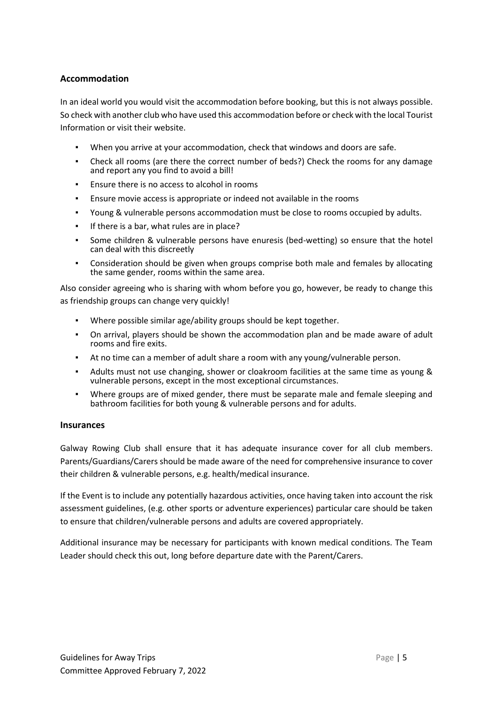# **Accommodation**

In an ideal world you would visit the accommodation before booking, but this is not always possible. So check with another club who have used this accommodation before or check with the local Tourist Information or visit their website.

- When you arrive at your accommodation, check that windows and doors are safe.
- Check all rooms (are there the correct number of beds?) Check the rooms for any damage and report any you find to avoid a bill!
- Ensure there is no access to alcohol in rooms
- Ensure movie access is appropriate or indeed not available in the rooms
- Young & vulnerable persons accommodation must be close to rooms occupied by adults.
- If there is a bar, what rules are in place?
- Some children & vulnerable persons have enuresis (bed-wetting) so ensure that the hotel can deal with this discreetly
- Consideration should be given when groups comprise both male and females by allocating the same gender, rooms within the same area.

Also consider agreeing who is sharing with whom before you go, however, be ready to change this as friendship groups can change very quickly!

- Where possible similar age/ability groups should be kept together.
- On arrival, players should be shown the accommodation plan and be made aware of adult rooms and fire exits.
- At no time can a member of adult share a room with any young/vulnerable person.
- Adults must not use changing, shower or cloakroom facilities at the same time as young & vulnerable persons, except in the most exceptional circumstances.
- Where groups are of mixed gender, there must be separate male and female sleeping and bathroom facilities for both young & vulnerable persons and for adults.

#### **Insurances**

Galway Rowing Club shall ensure that it has adequate insurance cover for all club members. Parents/Guardians/Carers should be made aware of the need for comprehensive insurance to cover their children & vulnerable persons, e.g. health/medical insurance.

If the Event is to include any potentially hazardous activities, once having taken into account the risk assessment guidelines, (e.g. other sports or adventure experiences) particular care should be taken to ensure that children/vulnerable persons and adults are covered appropriately.

Additional insurance may be necessary for participants with known medical conditions. The Team Leader should check this out, long before departure date with the Parent/Carers.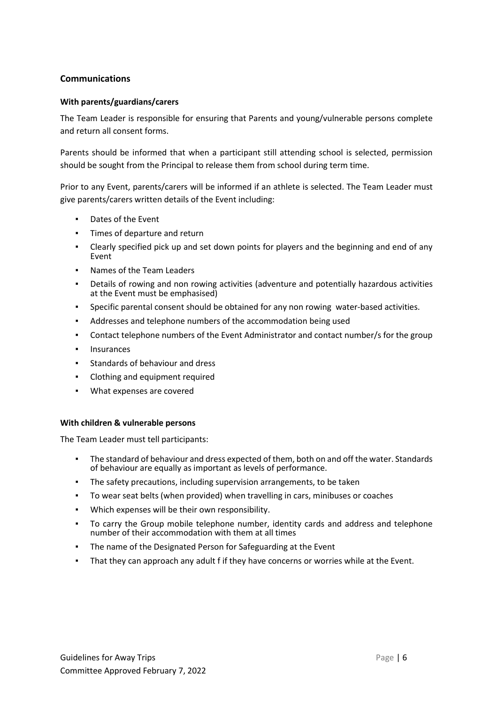# **Communications**

#### **With parents/guardians/carers**

The Team Leader is responsible for ensuring that Parents and young/vulnerable persons complete and return all consent forms.

Parents should be informed that when a participant still attending school is selected, permission should be sought from the Principal to release them from school during term time.

Prior to any Event, parents/carers will be informed if an athlete is selected. The Team Leader must give parents/carers written details of the Event including:

- Dates of the Event
- Times of departure and return
- Clearly specified pick up and set down points for players and the beginning and end of any Event
- Names of the Team Leaders
- Details of rowing and non rowing activities (adventure and potentially hazardous activities at the Event must be emphasised)
- Specific parental consent should be obtained for any non rowing water-based activities.
- Addresses and telephone numbers of the accommodation being used
- Contact telephone numbers of the Event Administrator and contact number/s for the group
- Insurances
- Standards of behaviour and dress
- Clothing and equipment required
- What expenses are covered

#### **With children & vulnerable persons**

The Team Leader must tell participants:

- The standard of behaviour and dress expected of them, both on and off the water. Standards of behaviour are equally as important as levels of performance.
- The safety precautions, including supervision arrangements, to be taken
- To wear seat belts (when provided) when travelling in cars, minibuses or coaches
- Which expenses will be their own responsibility.
- To carry the Group mobile telephone number, identity cards and address and telephone number of their accommodation with them at all times
- The name of the Designated Person for Safeguarding at the Event
- That they can approach any adult f if they have concerns or worries while at the Event.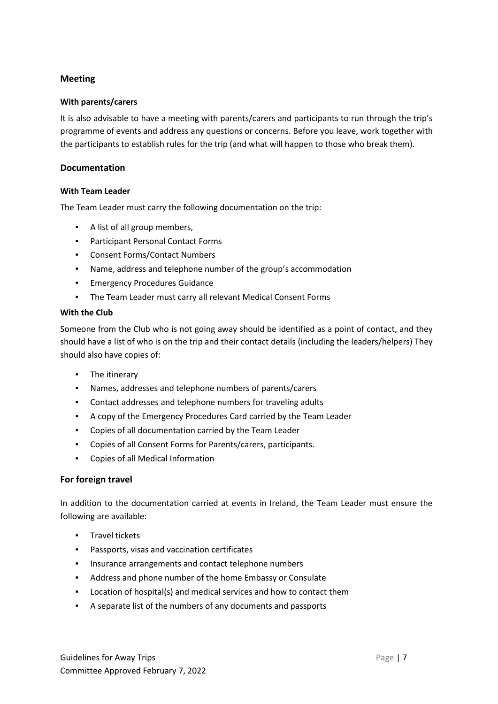# **Meeting**

# **With parents/carers**

It is also advisable to have a meeting with parents/carers and participants to run through the trip's programme of events and address any questions or concerns. Before you leave, work together with the participants to establish rules for the trip (and what will happen to those who break them).

# **Documentation**

#### **With Team Leader**

The Team Leader must carry the following documentation on the trip:

- A list of all group members,
- Participant Personal Contact Forms
- Consent Forms/Contact Numbers
- Name, address and telephone number of the group's accommodation
- Emergency Procedures Guidance
- The Team Leader must carry all relevant Medical Consent Forms

#### **With the Club**

Someone from the Club who is not going away should be identified as a point of contact, and they should have a list of who is on the trip and their contact details (including the leaders/helpers) They should also have copies of:

- The itinerary
- Names, addresses and telephone numbers of parents/carers
- Contact addresses and telephone numbers for traveling adults
- A copy of the Emergency Procedures Card carried by the Team Leader
- Copies of all documentation carried by the Team Leader
- Copies of all Consent Forms for Parents/carers, participants.
- Copies of all Medical Information

#### **For foreign travel**

In addition to the documentation carried at events in Ireland, the Team Leader must ensure the following are available:

- Travel tickets
- Passports, visas and vaccination certificates
- **·** Insurance arrangements and contact telephone numbers
- Address and phone number of the home Embassy or Consulate
- Location of hospital(s) and medical services and how to contact them
- A separate list of the numbers of any documents and passports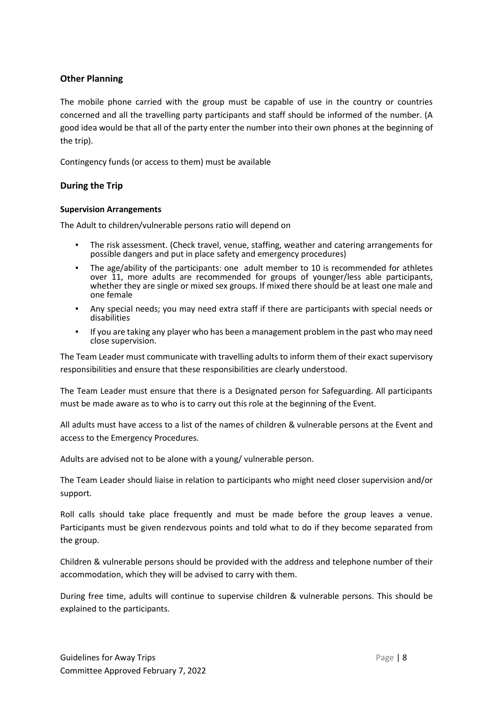# **Other Planning**

The mobile phone carried with the group must be capable of use in the country or countries concerned and all the travelling party participants and staff should be informed of the number. (A good idea would be that all of the party enter the number into their own phones at the beginning of the trip).

Contingency funds (or access to them) must be available

# **During the Trip**

#### **Supervision Arrangements**

The Adult to children/vulnerable persons ratio will depend on

- The risk assessment. (Check travel, venue, staffing, weather and catering arrangements for possible dangers and put in place safety and emergency procedures)
- The age/ability of the participants: one adult member to 10 is recommended for athletes over 11, more adults are recommended for groups of younger/less able participants, whether they are single or mixed sex groups. If mixed there should be at least one male and one female
- Any special needs; you may need extra staff if there are participants with special needs or disabilities
- If you are taking any player who has been a management problem in the past who may need close supervision.

The Team Leader must communicate with travelling adults to inform them of their exact supervisory responsibilities and ensure that these responsibilities are clearly understood.

The Team Leader must ensure that there is a Designated person for Safeguarding. All participants must be made aware as to who is to carry out this role at the beginning of the Event.

All adults must have access to a list of the names of children & vulnerable persons at the Event and access to the Emergency Procedures.

Adults are advised not to be alone with a young/ vulnerable person.

The Team Leader should liaise in relation to participants who might need closer supervision and/or support.

Roll calls should take place frequently and must be made before the group leaves a venue. Participants must be given rendezvous points and told what to do if they become separated from the group.

Children & vulnerable persons should be provided with the address and telephone number of their accommodation, which they will be advised to carry with them.

During free time, adults will continue to supervise children & vulnerable persons. This should be explained to the participants.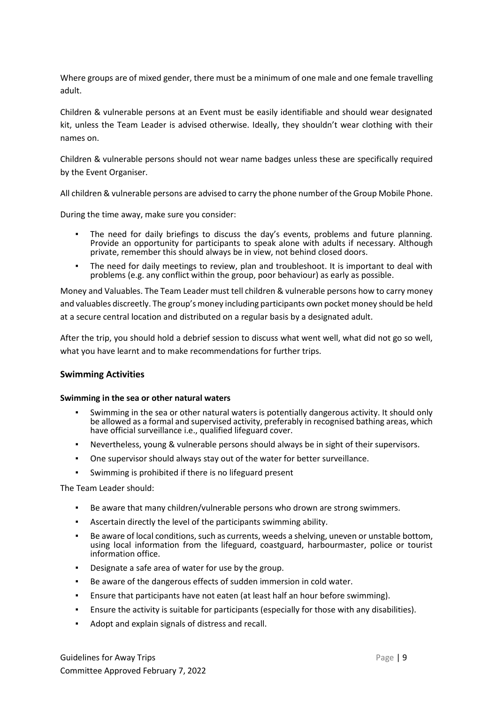Where groups are of mixed gender, there must be a minimum of one male and one female travelling adult.

Children & vulnerable persons at an Event must be easily identifiable and should wear designated kit, unless the Team Leader is advised otherwise. Ideally, they shouldn't wear clothing with their names on.

Children & vulnerable persons should not wear name badges unless these are specifically required by the Event Organiser.

All children & vulnerable persons are advised to carry the phone number of the Group Mobile Phone.

During the time away, make sure you consider:

- The need for daily briefings to discuss the day's events, problems and future planning. Provide an opportunity for participants to speak alone with adults if necessary. Although private, remember this should always be in view, not behind closed doors.
- The need for daily meetings to review, plan and troubleshoot. It is important to deal with problems (e.g. any conflict within the group, poor behaviour) as early as possible.

Money and Valuables. The Team Leader must tell children & vulnerable persons how to carry money and valuables discreetly. The group's money including participants own pocket money should be held at a secure central location and distributed on a regular basis by a designated adult.

After the trip, you should hold a debrief session to discuss what went well, what did not go so well, what you have learnt and to make recommendations for further trips.

#### **Swimming Activities**

#### **Swimming in the sea or other natural waters**

- Swimming in the sea or other natural waters is potentially dangerous activity. It should only be allowed as a formal and supervised activity, preferably in recognised bathing areas, which have official surveillance i.e., qualified lifeguard cover.
- Nevertheless, young & vulnerable persons should always be in sight of their supervisors.
- One supervisor should always stay out of the water for better surveillance.
- Swimming is prohibited if there is no lifeguard present

The Team Leader should:

- Be aware that many children/vulnerable persons who drown are strong swimmers.
- Ascertain directly the level of the participants swimming ability.
- Be aware of local conditions, such as currents, weeds a shelving, uneven or unstable bottom, using local information from the lifeguard, coastguard, harbourmaster, police or tourist information office.
- Designate a safe area of water for use by the group.
- Be aware of the dangerous effects of sudden immersion in cold water.
- Ensure that participants have not eaten (at least half an hour before swimming).
- Ensure the activity is suitable for participants (especially for those with any disabilities).
- Adopt and explain signals of distress and recall.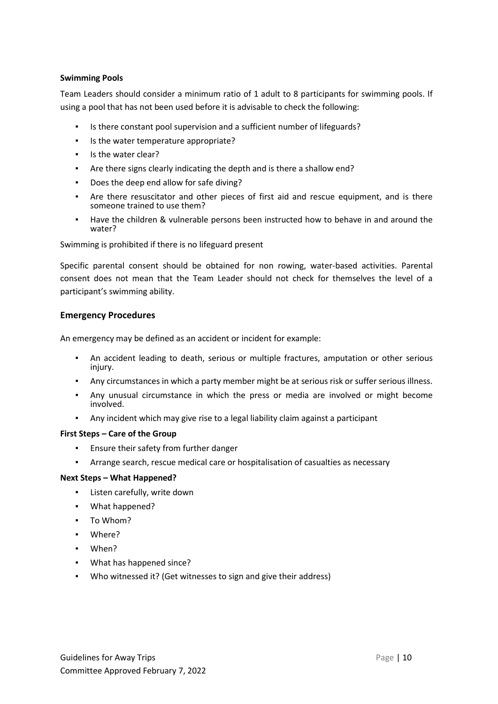#### **Swimming Pools**

Team Leaders should consider a minimum ratio of 1 adult to 8 participants for swimming pools. If using a pool that has not been used before it is advisable to check the following:

- Is there constant pool supervision and a sufficient number of lifeguards?
- Is the water temperature appropriate?
- Is the water clear?
- Are there signs clearly indicating the depth and is there a shallow end?
- Does the deep end allow for safe diving?
- Are there resuscitator and other pieces of first aid and rescue equipment, and is there someone trained to use them?
- Have the children & vulnerable persons been instructed how to behave in and around the water?

# Swimming is prohibited if there is no lifeguard present

Specific parental consent should be obtained for non rowing, water-based activities. Parental consent does not mean that the Team Leader should not check for themselves the level of a participant's swimming ability.

#### **Emergency Procedures**

An emergency may be defined as an accident or incident for example:

- An accident leading to death, serious or multiple fractures, amputation or other serious injury.
- Any circumstances in which a party member might be at serious risk or suffer serious illness.
- Any unusual circumstance in which the press or media are involved or might become involved.
- Any incident which may give rise to a legal liability claim against a participant

#### **First Steps – Care of the Group**

- Ensure their safety from further danger
- Arrange search, rescue medical care or hospitalisation of casualties as necessary

#### **Next Steps – What Happened?**

- Listen carefully, write down
- What happened?
- To Whom?
- Where?
- When?
- What has happened since?
- Who witnessed it? (Get witnesses to sign and give their address)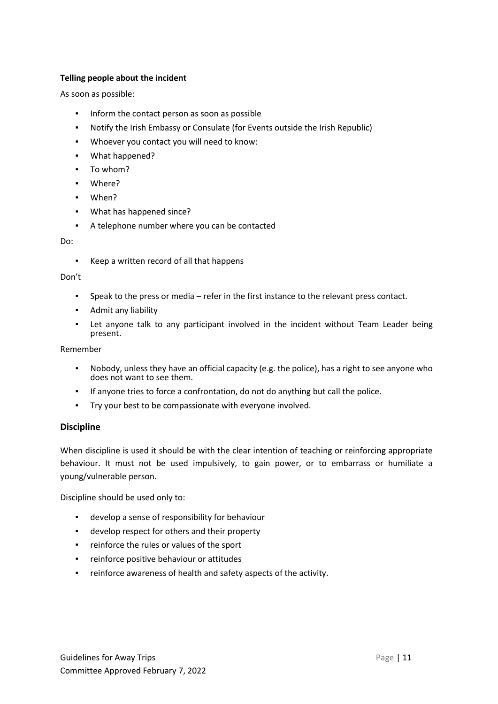# **Telling people about the incident**

As soon as possible:

- Inform the contact person as soon as possible
- Notify the Irish Embassy or Consulate (for Events outside the Irish Republic)
- Whoever you contact you will need to know:
- What happened?
- To whom?
- Where?
- When?
- What has happened since?
- A telephone number where you can be contacted

Do:

▪ Keep a written record of all that happens

#### Don't

- Speak to the press or media refer in the first instance to the relevant press contact.
- Admit any liability
- Let anyone talk to any participant involved in the incident without Team Leader being present.

Remember

- Nobody, unless they have an official capacity (e.g. the police), has a right to see anyone who does not want to see them.
- If anyone tries to force a confrontation, do not do anything but call the police.
- Try your best to be compassionate with everyone involved.

#### **Discipline**

When discipline is used it should be with the clear intention of teaching or reinforcing appropriate behaviour. It must not be used impulsively, to gain power, or to embarrass or humiliate a young/vulnerable person.

Discipline should be used only to:

- develop a sense of responsibility for behaviour
- develop respect for others and their property
- reinforce the rules or values of the sport
- reinforce positive behaviour or attitudes
- reinforce awareness of health and safety aspects of the activity.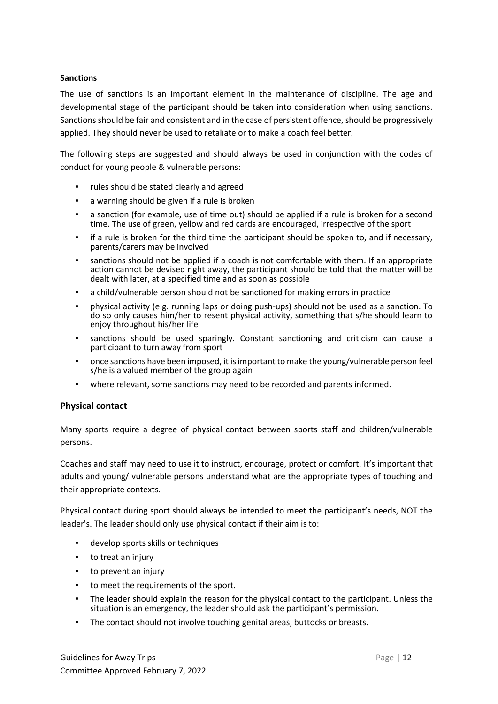#### **Sanctions**

The use of sanctions is an important element in the maintenance of discipline. The age and developmental stage of the participant should be taken into consideration when using sanctions. Sanctions should be fair and consistent and in the case of persistent offence, should be progressively applied. They should never be used to retaliate or to make a coach feel better.

The following steps are suggested and should always be used in conjunction with the codes of conduct for young people & vulnerable persons:

- rules should be stated clearly and agreed
- a warning should be given if a rule is broken
- a sanction (for example, use of time out) should be applied if a rule is broken for a second time. The use of green, yellow and red cards are encouraged, irrespective of the sport
- if a rule is broken for the third time the participant should be spoken to, and if necessary, parents/carers may be involved
- sanctions should not be applied if a coach is not comfortable with them. If an appropriate action cannot be devised right away, the participant should be told that the matter will be dealt with later, at a specified time and as soon as possible
- a child/vulnerable person should not be sanctioned for making errors in practice
- physical activity (e.g. running laps or doing push-ups) should not be used as a sanction. To do so only causes him/her to resent physical activity, something that s/he should learn to enjoy throughout his/her life
- sanctions should be used sparingly. Constant sanctioning and criticism can cause a participant to turn away from sport
- once sanctions have been imposed, it is important to make the young/vulnerable person feel s/he is a valued member of the group again
- where relevant, some sanctions may need to be recorded and parents informed.

#### **Physical contact**

Many sports require a degree of physical contact between sports staff and children/vulnerable persons.

Coaches and staff may need to use it to instruct, encourage, protect or comfort. It's important that adults and young/ vulnerable persons understand what are the appropriate types of touching and their appropriate contexts.

Physical contact during sport should always be intended to meet the participant's needs, NOT the leader's. The leader should only use physical contact if their aim is to:

- develop sports skills or techniques
- to treat an injury
- to prevent an injury
- to meet the requirements of the sport.
- The leader should explain the reason for the physical contact to the participant. Unless the situation is an emergency, the leader should ask the participant's permission.
- The contact should not involve touching genital areas, buttocks or breasts.